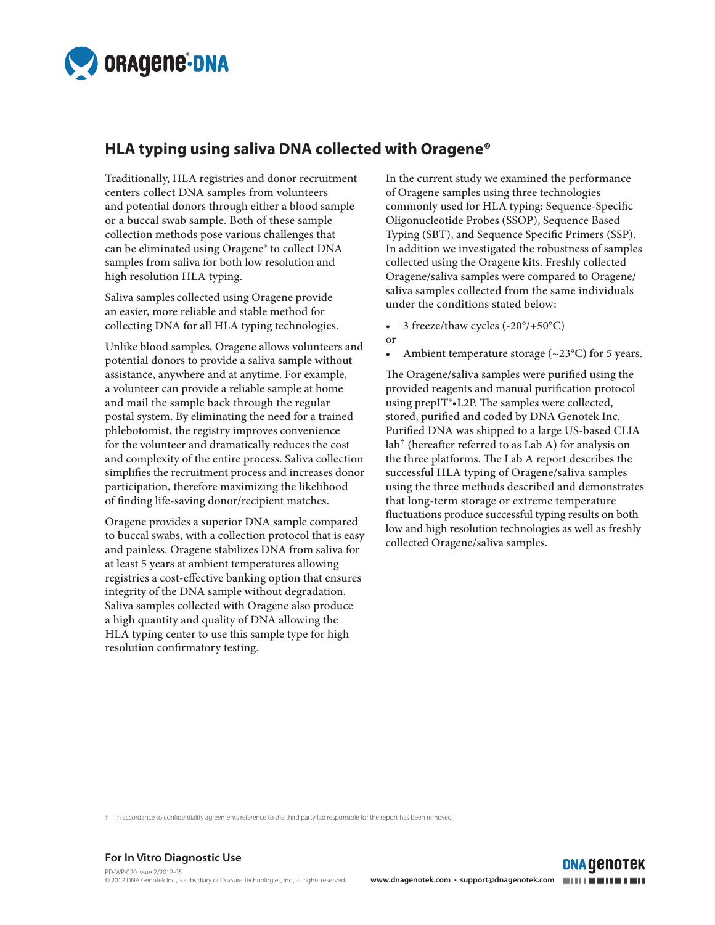

# **HLA typing using saliva DNA collected with Oragene®**

Traditionally, HLA registries and donor recruitment centers collect DNA samples from volunteers and potential donors through either a blood sample or a buccal swab sample. Both of these sample collection methods pose various challenges that can be eliminated using Oragene® to collect DNA samples from saliva for both low resolution and high resolution HLA typing.

Saliva samples collected using Oragene provide an easier, more reliable and stable method for collecting DNA for all HLA typing technologies.

Unlike blood samples, Oragene allows volunteers and potential donors to provide a saliva sample without assistance, anywhere and at anytime. For example, a volunteer can provide a reliable sample at home and mail the sample back through the regular postal system. By eliminating the need for a trained phlebotomist, the registry improves convenience for the volunteer and dramatically reduces the cost and complexity of the entire process. Saliva collection simplifies the recruitment process and increases donor participation, therefore maximizing the likelihood of finding life-saving donor/recipient matches.

Oragene provides a superior DNA sample compared to buccal swabs, with a collection protocol that is easy and painless. Oragene stabilizes DNA from saliva for at least 5 years at ambient temperatures allowing registries a cost-effective banking option that ensures integrity of the DNA sample without degradation. Saliva samples collected with Oragene also produce a high quantity and quality of DNA allowing the HLA typing center to use this sample type for high resolution confirmatory testing.

In the current study we examined the performance of Oragene samples using three technologies commonly used for HLA typing: Sequence-Specific Oligonucleotide Probes (SSOP), Sequence Based Typing (SBT), and Sequence Specific Primers (SSP). In addition we investigated the robustness of samples collected using the Oragene kits. Freshly collected Oragene/saliva samples were compared to Oragene/ saliva samples collected from the same individuals under the conditions stated below:

- 3 freeze/thaw cycles  $(-20^{\circ}/+50^{\circ}C)$ or
- Ambient temperature storage  $(\sim 23^{\circ}C)$  for 5 years.

The Oragene/saliva samples were purified using the provided reagents and manual purification protocol using prepIT®•L2P. The samples were collected, stored, purified and coded by DNA Genotek Inc. Purified DNA was shipped to a large US-based CLIA  $lab<sup>†</sup>$  (hereafter referred to as Lab A) for analysis on the three platforms. The Lab A report describes the successful HLA typing of Oragene/saliva samples using the three methods described and demonstrates that long-term storage or extreme temperature fluctuations produce successful typing results on both low and high resolution technologies as well as freshly collected Oragene/saliva samples.

† In accordance to confidentiality agreements reference to the third party lab responsible for the report has been removed.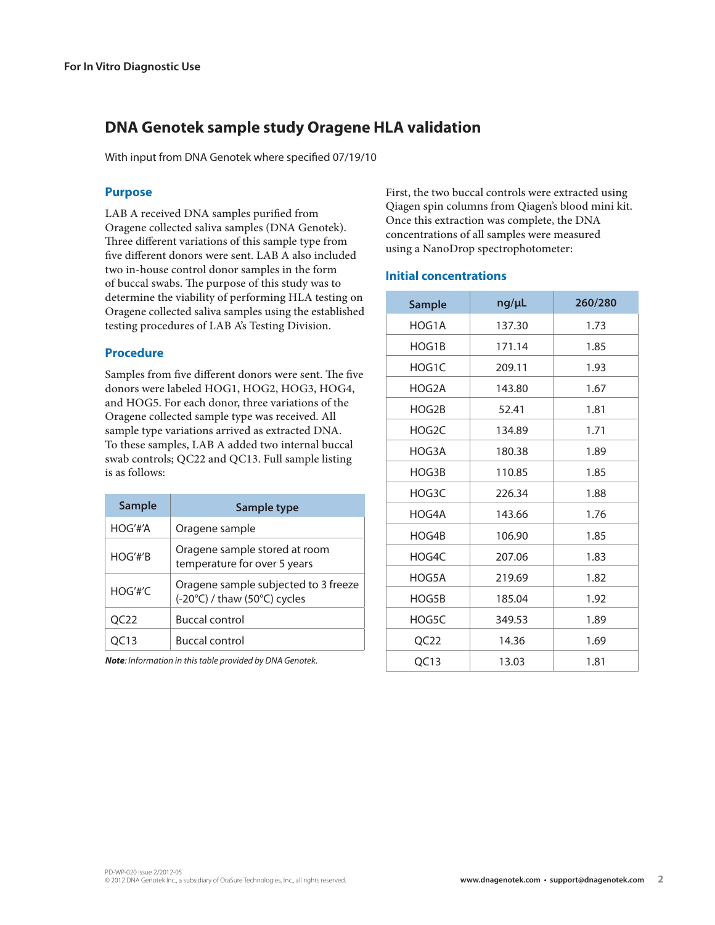# **DNA Genotek sample study Oragene HLA validation**

With input from DNA Genotek where specified 07/19/10

## **Purpose**

LAB A received DNA samples purified from Oragene collected saliva samples (DNA Genotek). Three different variations of this sample type from five different donors were sent. LAB A also included two in-house control donor samples in the form of buccal swabs. The purpose of this study was to determine the viability of performing HLA testing on Oragene collected saliva samples using the established testing procedures of LAB A's Testing Division.

#### **Procedure**

Samples from five different donors were sent. The five donors were labeled HOG1, HOG2, HOG3, HOG4, and HOG5. For each donor, three variations of the Oragene collected sample type was received. All sample type variations arrived as extracted DNA. To these samples, LAB A added two internal buccal swab controls; QC22 and QC13. Full sample listing is as follows:

| <b>Sample</b> | Sample type                                                          |
|---------------|----------------------------------------------------------------------|
| HOG'tt'A      | Oragene sample                                                       |
| HOG'tt'B      | Oragene sample stored at room<br>temperature for over 5 years        |
| HOG'tt'C      | Oragene sample subjected to 3 freeze<br>(-20°C) / thaw (50°C) cycles |
| OC22          | <b>Buccal control</b>                                                |
| 13            | <b>Buccal control</b>                                                |

*Note: Information in this table provided by DNA Genotek.*

First, the two buccal controls were extracted using Qiagen spin columns from Qiagen's blood mini kit. Once this extraction was complete, the DNA concentrations of all samples were measured using a NanoDrop spectrophotometer:

# **Initial concentrations**

| <b>Sample</b>    | ng/µL  | 260/280 |
|------------------|--------|---------|
| HOG1A            | 137.30 | 1.73    |
| HOG1B            | 171.14 | 1.85    |
| HOG1C            | 209.11 | 1.93    |
| HOG2A            | 143.80 | 1.67    |
| HOG2B            | 52.41  | 1.81    |
| HOG2C            | 134.89 | 1.71    |
| HOG3A            | 180.38 | 1.89    |
| HOG3B            | 110.85 | 1.85    |
| HOG3C            | 226.34 | 1.88    |
| HOG4A            | 143.66 | 1.76    |
| HOG4B            | 106.90 | 1.85    |
| HOG4C            | 207.06 | 1.83    |
| HOG5A            | 219.69 | 1.82    |
| HOG5B            | 185.04 | 1.92    |
| HOG5C            | 349.53 | 1.89    |
| QC <sub>22</sub> | 14.36  | 1.69    |
| QC13             | 13.03  | 1.81    |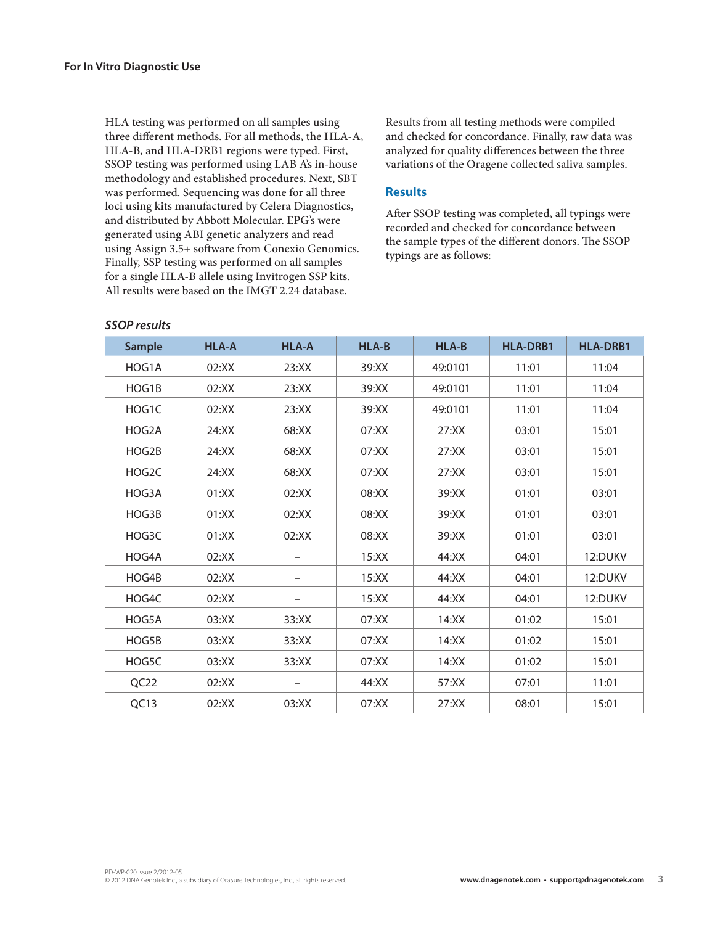HLA testing was performed on all samples using three different methods. For all methods, the HLA-A, HLA-B, and HLA-DRB1 regions were typed. First, SSOP testing was performed using LAB A's in-house methodology and established procedures. Next, SBT was performed. Sequencing was done for all three loci using kits manufactured by Celera Diagnostics, and distributed by Abbott Molecular. EPG's were generated using ABI genetic analyzers and read using Assign 3.5+ software from Conexio Genomics. Finally, SSP testing was performed on all samples for a single HLA-B allele using Invitrogen SSP kits. All results were based on the IMGT 2.24 database.

Results from all testing methods were compiled and checked for concordance. Finally, raw data was analyzed for quality differences between the three variations of the Oragene collected saliva samples.

#### **Results**

After SSOP testing was completed, all typings were recorded and checked for concordance between the sample types of the different donors. The SSOP typings are as follows:

| <b>Sample</b>    | <b>HLA-A</b> | <b>HLA-A</b>      | HLA-B | HLA-B   | <b>HLA-DRB1</b> | <b>HLA-DRB1</b> |
|------------------|--------------|-------------------|-------|---------|-----------------|-----------------|
| HOG1A            | 02:XX        | 23:XX             | 39:XX | 49:0101 | 11:01           | 11:04           |
| HOG1B            | 02:XX        | 23:XX             | 39:XX | 49:0101 | 11:01           | 11:04           |
| HOG1C            | 02:XX        | 23:XX             | 39:XX | 49:0101 | 11:01           | 11:04           |
| HOG2A            | 24:XX        | 68:XX             | 07:XX | 27:XX   | 03:01           | 15:01           |
| HOG2B            | 24:XX        | 68:XX             | 07:XX | 27:XX   | 03:01           | 15:01           |
| HOG2C            | 24:XX        | 68:XX             | 07:XX | 27:XX   | 03:01           | 15:01           |
| HOG3A            | 01:XX        | 02:XX             | 08:XX | 39:XX   | 01:01           | 03:01           |
| HOG3B            | 01:XX        | 02:XX             | 08:XX | 39:XX   | 01:01           | 03:01           |
| HOG3C            | 01:XX        | 02:XX             | 08:XX | 39:XX   | 01:01           | 03:01           |
| HOG4A            | 02:XX        |                   | 15:XX | 44:XX   | 04:01           | 12:DUKV         |
| HOG4B            | 02:XX        |                   | 15:XX | 44:XX   | 04:01           | 12:DUKV         |
| HOG4C            | 02:XX        | $\qquad \qquad -$ | 15:XX | 44:XX   | 04:01           | 12:DUKV         |
| HOG5A            | 03:XX        | 33:XX             | 07:XX | 14:XX   | 01:02           | 15:01           |
| HOG5B            | 03:XX        | 33:XX             | 07:XX | 14:XX   | 01:02           | 15:01           |
| HOG5C            | 03:XX        | 33:XX             | 07:XX | 14:XX   | 01:02           | 15:01           |
| QC <sub>22</sub> | 02:XX        |                   | 44:XX | 57:XX   | 07:01           | 11:01           |
| QC13             | 02:XX        | 03:XX             | 07:XX | 27:XX   | 08:01           | 15:01           |

### *SSOP results*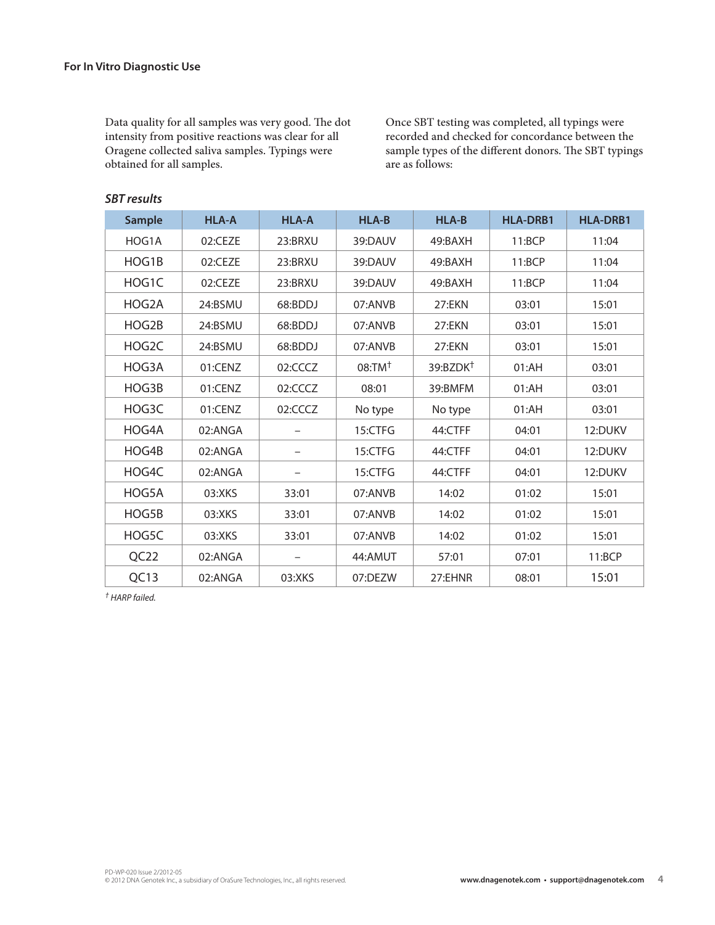Data quality for all samples was very good. The dot intensity from positive reactions was clear for all Oragene collected saliva samples. Typings were obtained for all samples.

Once SBT testing was completed, all typings were recorded and checked for concordance between the sample types of the different donors. The SBT typings are as follows:

## *SBT results*

| <b>Sample</b> | <b>HLA-A</b> | <b>HLA-A</b> | <b>HLA-B</b> | <b>HLA-B</b>         | <b>HLA-DRB1</b> | <b>HLA-DRB1</b> |
|---------------|--------------|--------------|--------------|----------------------|-----------------|-----------------|
| HOG1A         | 02:CEZE      | 23:BRXU      | 39:DAUV      | 49:BAXH              | 11:BCP          | 11:04           |
| HOG1B         | 02:CEZE      | 23:BRXU      | 39:DAUV      | 49:BAXH              | 11:BCP          | 11:04           |
| HOG1C         | 02:CEZE      | 23:BRXU      | 39:DAUV      | 49:BAXH              | 11:BCP          | 11:04           |
| HOG2A         | 24:BSMU      | 68:BDDJ      | 07:ANVB      | 27:EKN               | 03:01           | 15:01           |
| HOG2B         | 24:BSMU      | 68:BDDJ      | 07:ANVB      | 27:EKN               | 03:01           | 15:01           |
| HOG2C         | 24:BSMU      | 68:BDDJ      | 07:ANVB      | 27:EKN               | 03:01           | 15:01           |
| HOG3A         | 01:CENZ      | 02:CCCZ      | $08:TM^+$    | 39:BZDK <sup>+</sup> | 01:AH           | 03:01           |
| HOG3B         | 01:CENZ      | 02:CCCZ      | 08:01        | 39:BMFM              | 01:AH           | 03:01           |
| HOG3C         | 01:CENZ      | 02:CCCZ      | No type      | No type              | 01:AH           | 03:01           |
| HOG4A         | 02:ANGA      |              | 15:CTFG      | 44:CTFF              | 04:01           | 12:DUKV         |
| HOG4B         | 02:ANGA      |              | 15:CTFG      | 44:CTFF              | 04:01           | 12:DUKV         |
| HOG4C         | 02:ANGA      |              | 15:CTFG      | 44:CTFF              | 04:01           | 12:DUKV         |
| HOG5A         | 03:XKS       | 33:01        | 07:ANVB      | 14:02                | 01:02           | 15:01           |
| HOG5B         | 03:XKS       | 33:01        | 07:ANVB      | 14:02                | 01:02           | 15:01           |
| HOG5C         | 03:XKS       | 33:01        | 07:ANVB      | 14:02                | 01:02           | 15:01           |
| QC22          | 02:ANGA      |              | 44:AMUT      | 57:01                | 07:01           | 11:BCP          |
| QC13          | 02:ANGA      | 03:XKS       | 07:DEZW      | 27:EHNR              | 08:01           | 15:01           |

*† HARP failed.*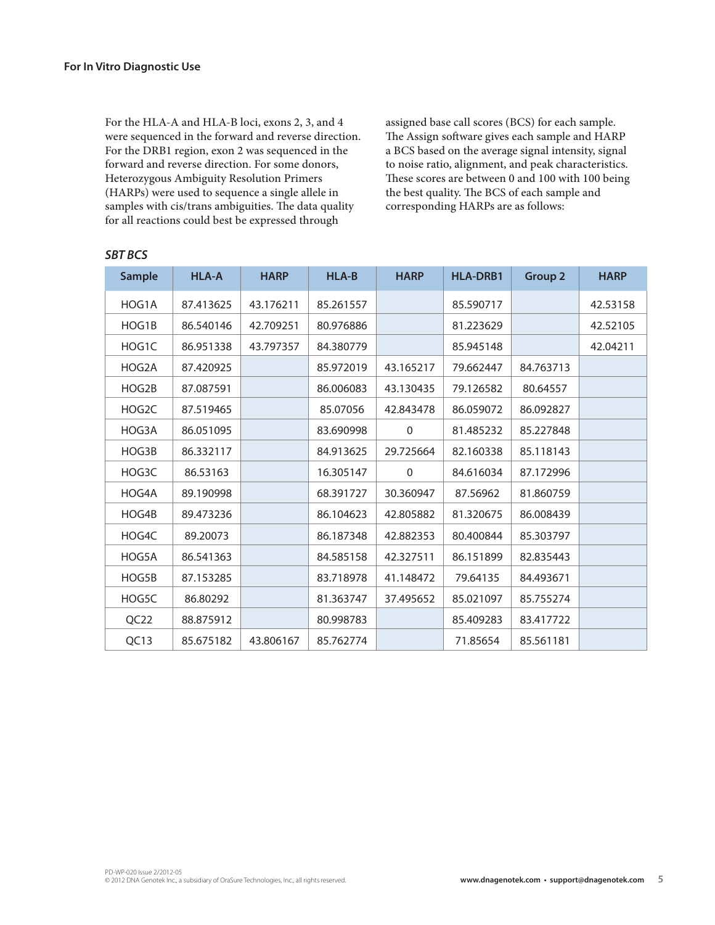For the HLA-A and HLA-B loci, exons 2, 3, and 4 were sequenced in the forward and reverse direction. For the DRB1 region, exon 2 was sequenced in the forward and reverse direction. For some donors, Heterozygous Ambiguity Resolution Primers (HARPs) were used to sequence a single allele in samples with cis/trans ambiguities. The data quality for all reactions could best be expressed through

assigned base call scores (BCS) for each sample. The Assign software gives each sample and HARP a BCS based on the average signal intensity, signal to noise ratio, alignment, and peak characteristics. These scores are between 0 and 100 with 100 being the best quality. The BCS of each sample and corresponding HARPs are as follows:

| <b>Sample</b>    | <b>HLA-A</b> | <b>HARP</b> | <b>HLA-B</b> | <b>HARP</b> | <b>HLA-DRB1</b> | <b>Group 2</b> | <b>HARP</b> |
|------------------|--------------|-------------|--------------|-------------|-----------------|----------------|-------------|
| HOG1A            | 87.413625    | 43.176211   | 85.261557    |             | 85.590717       |                | 42.53158    |
| HOG1B            | 86.540146    | 42.709251   | 80.976886    |             | 81.223629       |                | 42.52105    |
| HOG1C            | 86.951338    | 43.797357   | 84.380779    |             | 85.945148       |                | 42.04211    |
| HOG2A            | 87.420925    |             | 85.972019    | 43.165217   | 79.662447       | 84.763713      |             |
| HOG2B            | 87.087591    |             | 86.006083    | 43.130435   | 79.126582       | 80.64557       |             |
| HOG2C            | 87.519465    |             | 85.07056     | 42.843478   | 86.059072       | 86.092827      |             |
| HOG3A            | 86.051095    |             | 83.690998    | $\mathbf 0$ | 81.485232       | 85.227848      |             |
| HOG3B            | 86.332117    |             | 84.913625    | 29.725664   | 82.160338       | 85.118143      |             |
| HOG3C            | 86.53163     |             | 16.305147    | $\mathbf 0$ | 84.616034       | 87.172996      |             |
| HOG4A            | 89.190998    |             | 68.391727    | 30.360947   | 87.56962        | 81.860759      |             |
| HOG4B            | 89.473236    |             | 86.104623    | 42.805882   | 81.320675       | 86.008439      |             |
| HOG4C            | 89.20073     |             | 86.187348    | 42.882353   | 80.400844       | 85.303797      |             |
| HOG5A            | 86.541363    |             | 84.585158    | 42.327511   | 86.151899       | 82.835443      |             |
| HOG5B            | 87.153285    |             | 83.718978    | 41.148472   | 79.64135        | 84.493671      |             |
| HOG5C            | 86.80292     |             | 81.363747    | 37.495652   | 85.021097       | 85.755274      |             |
| QC <sub>22</sub> | 88.875912    |             | 80.998783    |             | 85.409283       | 83.417722      |             |
| QC13             | 85.675182    | 43.806167   | 85.762774    |             | 71.85654        | 85.561181      |             |

# *SBT BCS*